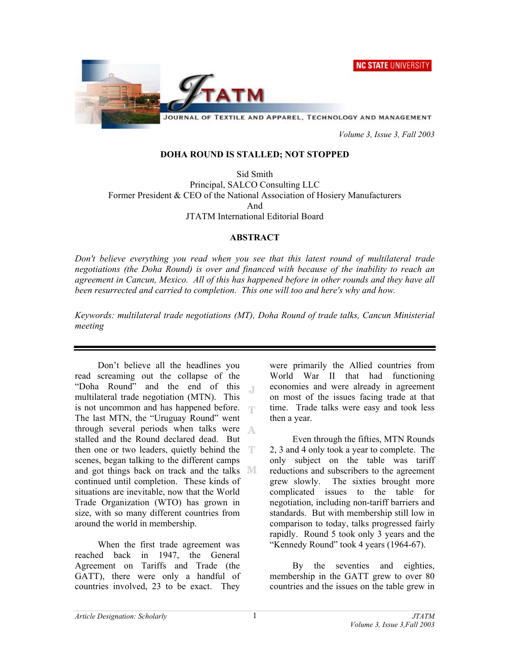**NC STATE UNIVERSITY** 



JOURNAL OF TEXTILE AND APPAREL, TECHNOLOGY AND MANAGEMENT

 *Volume 3, Issue 3, Fall 2003* 

## **DOHA ROUND IS STALLED; NOT STOPPED**

Sid Smith Principal, SALCO Consulting LLC Former President & CEO of the National Association of Hosiery Manufacturers And JTATM International Editorial Board

## **ABSTRACT**

*Don't believe everything you read when you see that this latest round of multilateral trade negotiations (the Doha Round) is over and financed with because of the inability to reach an agreement in Cancun, Mexico. All of this has happened before in other rounds and they have all been resurrected and carried to completion. This one will too and here's why and how.* 

*Keywords: multilateral trade negotiations (MT), Doha Round of trade talks, Cancun Ministerial meeting* 

Don't believe all the headlines you read screaming out the collapse of the "Doha Round" and the end of this  $\Gamma$ multilateral trade negotiation (MTN). This is not uncommon and has happened before. The last MTN, the "Uruguay Round" went through several periods when talks were stalled and the Round declared dead. But then one or two leaders, quietly behind the scenes, began talking to the different camps and got things back on track and the talks  $\mathbb{M}$ continued until completion. These kinds of situations are inevitable, now that the World Trade Organization (WTO) has grown in size, with so many different countries from around the world in membership.

When the first trade agreement was reached back in 1947, the General Agreement on Tariffs and Trade (the GATT), there were only a handful of countries involved, 23 to be exact. They

were primarily the Allied countries from World War II that had functioning economies and were already in agreement on most of the issues facing trade at that time. Trade talks were easy and took less then a year.

Even through the fifties, MTN Rounds 2, 3 and 4 only took a year to complete. The only subject on the table was tariff reductions and subscribers to the agreement grew slowly. The sixties brought more complicated issues to the table for negotiation, including non-tariff barriers and standards. But with membership still low in comparison to today, talks progressed fairly rapidly. Round 5 took only 3 years and the "Kennedy Round" took 4 years (1964-67).

By the seventies and eighties, membership in the GATT grew to over 80 countries and the issues on the table grew in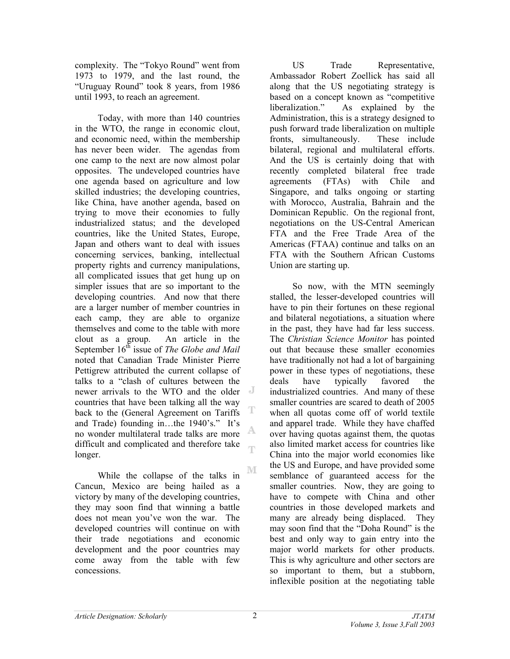complexity. The "Tokyo Round" went from 1973 to 1979, and the last round, the "Uruguay Round" took 8 years, from 1986 until 1993, to reach an agreement.

Today, with more than 140 countries in the WTO, the range in economic clout, and economic need, within the membership has never been wider. The agendas from one camp to the next are now almost polar opposites. The undeveloped countries have one agenda based on agriculture and low skilled industries; the developing countries, like China, have another agenda, based on trying to move their economies to fully industrialized status; and the developed countries, like the United States, Europe, Japan and others want to deal with issues concerning services, banking, intellectual property rights and currency manipulations, all complicated issues that get hung up on simpler issues that are so important to the developing countries. And now that there are a larger number of member countries in each camp, they are able to organize themselves and come to the table with more clout as a group. An article in the September 16<sup>th</sup> issue of *The Globe and Mail* noted that Canadian Trade Minister Pierre Pettigrew attributed the current collapse of talks to a "clash of cultures between the newer arrivals to the WTO and the older countries that have been talking all the way T back to the (General Agreement on Tariffs and Trade) founding in…the 1940's." It's A, no wonder multilateral trade talks are more difficult and complicated and therefore take œ longer.

NΓ While the collapse of the talks in Cancun, Mexico are being hailed as a victory by many of the developing countries, they may soon find that winning a battle does not mean you've won the war. The developed countries will continue on with their trade negotiations and economic development and the poor countries may come away from the table with few concessions.

US Trade Representative, Ambassador Robert Zoellick has said all along that the US negotiating strategy is based on a concept known as "competitive liberalization." As explained by the Administration, this is a strategy designed to push forward trade liberalization on multiple fronts, simultaneously. These include bilateral, regional and multilateral efforts. And the US is certainly doing that with recently completed bilateral free trade agreements (FTAs) with Chile and Singapore, and talks ongoing or starting with Morocco, Australia, Bahrain and the Dominican Republic. On the regional front, negotiations on the US-Central American FTA and the Free Trade Area of the Americas (FTAA) continue and talks on an FTA with the Southern African Customs Union are starting up.

So now, with the MTN seemingly stalled, the lesser-developed countries will have to pin their fortunes on these regional and bilateral negotiations, a situation where in the past, they have had far less success. The *Christian Science Monitor* has pointed out that because these smaller economies have traditionally not had a lot of bargaining power in these types of negotiations, these deals have typically favored the industrialized countries. And many of these smaller countries are scared to death of 2005 when all quotas come off of world textile and apparel trade. While they have chaffed over having quotas against them, the quotas also limited market access for countries like China into the major world economies like the US and Europe, and have provided some semblance of guaranteed access for the smaller countries. Now, they are going to have to compete with China and other countries in those developed markets and many are already being displaced. They may soon find that the "Doha Round" is the best and only way to gain entry into the major world markets for other products. This is why agriculture and other sectors are so important to them, but a stubborn, inflexible position at the negotiating table